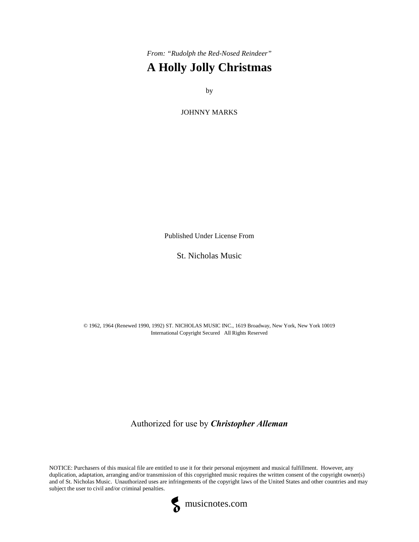*From: "Rudolph the Red-Nosed Reindeer"* **A Holly Jolly Christmas**

by

JOHNNY MARKS

Published Under License From

St. Nicholas Music

© 1962, 1964 (Renewed 1990, 1992) ST. NICHOLAS MUSIC INC., 1619 Broadway, New York, New York 10019 International Copyright Secured All Rights Reserved

Authorized for use by *Christopher Alleman*

NOTICE: Purchasers of this musical file are entitled to use it for their personal enjoyment and musical fulfillment. However, any duplication, adaptation, arranging and/or transmission of this copyrighted music requires the written consent of the copyright owner(s) and of St. Nicholas Music. Unauthorized uses are infringements of the copyright laws of the United States and other countries and may subject the user to civil and/or criminal penalties.

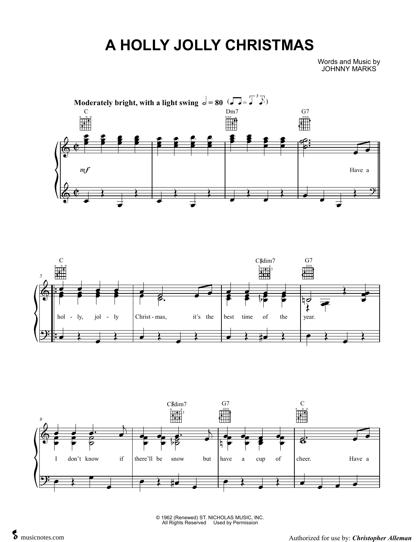## **A HOLLY JOLLY CHRISTMAS**

Words and Music by JOHNNY MARKS







© 1962 (Renewed) ST. NICHOLAS MUSIC, INC. All Rights Reserved Used by Permission

All Rights Reserved Used by Permission<br>Authorized for use by: *Christopher Alleman*<br>Authorized for use by: *Christopher Alleman*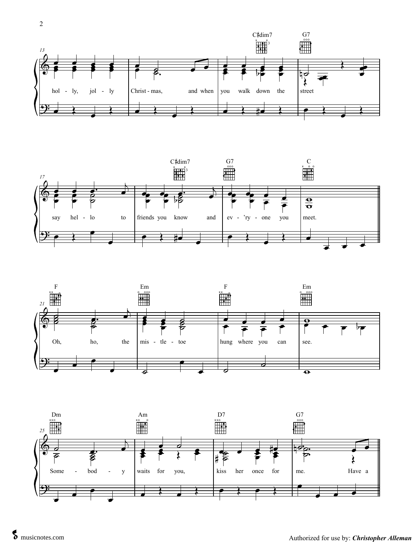